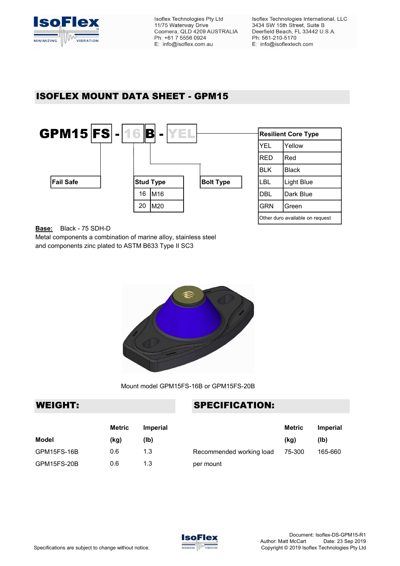

# ISOFLEX MOUNT DATA SHEET - GPM15



Base: Black - 75 SDH-D

Metal components a combination of marine alloy, stainless steel and components zinc plated to ASTM B633 Type II SC3



Mount model GPM15FS-16B or GPM15FS-20B

### WEIGHT: SPECIFICATION:

|              | Metric | <b>Imperial</b> |                          | <b>Metric</b> | <b>Imperial</b> |
|--------------|--------|-----------------|--------------------------|---------------|-----------------|
| <b>Model</b> | (kg)   | (lb)            |                          | (kq)          | (Ib)            |
| GPM15FS-16B  | 0.6    | 1.3             | Recommended working load | 75-300        | 165-660         |
| GPM15FS-20B  | 0.6    | 1.3             | per mount                |               |                 |

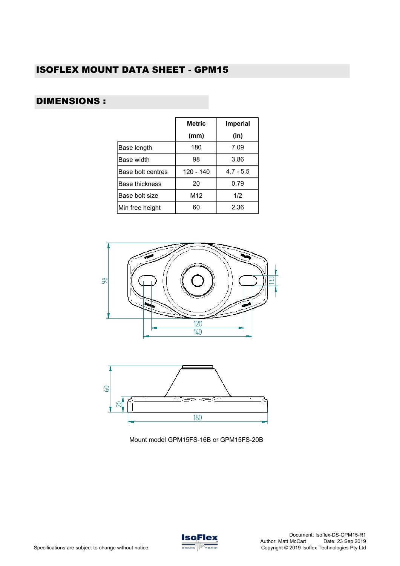## ISOFLEX MOUNT DATA SHEET - GPM15

## DIMENSIONS :

|                       | <b>Metric</b> | <b>Imperial</b> |
|-----------------------|---------------|-----------------|
|                       | (mm)          | (in)            |
| Base length           | 180           | 7.09            |
| Base width            | 98            | 3.86            |
| Base bolt centres     | 120 - 140     | $4.7 - 5.5$     |
| <b>Base thickness</b> | 20            | 0.79            |
| Base bolt size        | M12           | 1/2             |
| Min free height       | 60            | 2.36            |





Mount model GPM15FS-16B or GPM15FS-20B